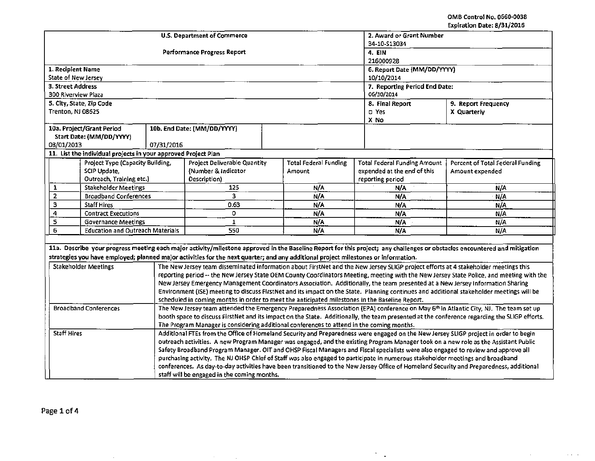$\mathcal{A}^{\mathcal{A}}$  .

 $\alpha$  ,  $\alpha$  ,  $\alpha$ 

|                                                                                                                                                                            | <b>U.S. Department of Commerce</b>                                                                                                                                                                                                        | 2. Award or Grant Number<br>34-10-S13034 |                               |                              |                                                                                                                                     |                                                                                                                                          |  |  |  |
|----------------------------------------------------------------------------------------------------------------------------------------------------------------------------|-------------------------------------------------------------------------------------------------------------------------------------------------------------------------------------------------------------------------------------------|------------------------------------------|-------------------------------|------------------------------|-------------------------------------------------------------------------------------------------------------------------------------|------------------------------------------------------------------------------------------------------------------------------------------|--|--|--|
|                                                                                                                                                                            | Performance Progress Report                                                                                                                                                                                                               | 4. EIN<br>216000928                      |                               |                              |                                                                                                                                     |                                                                                                                                          |  |  |  |
| 1. Recipient Name                                                                                                                                                          |                                                                                                                                                                                                                                           |                                          | 6. Report Date (MM/DD/YYYY)   |                              |                                                                                                                                     |                                                                                                                                          |  |  |  |
| State of New Jersey                                                                                                                                                        |                                                                                                                                                                                                                                           |                                          |                               |                              | 10/10/2014                                                                                                                          |                                                                                                                                          |  |  |  |
| 3. Street Address                                                                                                                                                          |                                                                                                                                                                                                                                           |                                          | 7. Reporting Period End Date: |                              |                                                                                                                                     |                                                                                                                                          |  |  |  |
| 300 Riverview Plaza                                                                                                                                                        |                                                                                                                                                                                                                                           | 06/30/2014                               |                               |                              |                                                                                                                                     |                                                                                                                                          |  |  |  |
| 5. City, State, Zip Code                                                                                                                                                   |                                                                                                                                                                                                                                           | 8. Final Report                          | 9. Report Frequency           |                              |                                                                                                                                     |                                                                                                                                          |  |  |  |
| Trenton, NJ 08625                                                                                                                                                          |                                                                                                                                                                                                                                           |                                          |                               |                              | D Yes                                                                                                                               | X Quarterly                                                                                                                              |  |  |  |
| 10a. Project/Grant Period                                                                                                                                                  |                                                                                                                                                                                                                                           | 10b. End Date: (MM/DD/YYYY)              |                               |                              | X No                                                                                                                                |                                                                                                                                          |  |  |  |
| Start Date: (MM/DD/YYYY)                                                                                                                                                   |                                                                                                                                                                                                                                           |                                          |                               |                              |                                                                                                                                     |                                                                                                                                          |  |  |  |
| 08/01/2013                                                                                                                                                                 | 07/31/2016                                                                                                                                                                                                                                |                                          |                               |                              |                                                                                                                                     |                                                                                                                                          |  |  |  |
| 11. List the individual projects in your approved Project Plan                                                                                                             |                                                                                                                                                                                                                                           |                                          |                               |                              |                                                                                                                                     |                                                                                                                                          |  |  |  |
| Project Type (Capacity Building,                                                                                                                                           |                                                                                                                                                                                                                                           | <b>Project Deliverable Quantity</b>      |                               | <b>Total Federal Funding</b> | <b>Total Federal Funding Amount</b>                                                                                                 | Percent of Total Federal Funding                                                                                                         |  |  |  |
| SCIP Update,                                                                                                                                                               |                                                                                                                                                                                                                                           | (Number & Indicator                      | <b>Amount</b>                 |                              | expended at the end of this                                                                                                         | Amount expended                                                                                                                          |  |  |  |
| Outreach, Training etc.)                                                                                                                                                   |                                                                                                                                                                                                                                           | Description)                             |                               |                              | reporting period                                                                                                                    |                                                                                                                                          |  |  |  |
| <b>Stakeholder Meetings</b><br>1                                                                                                                                           |                                                                                                                                                                                                                                           | 125                                      |                               | N/A                          | N/A                                                                                                                                 | N/A                                                                                                                                      |  |  |  |
| $\mathbf 2$<br><b>Broadband Conferences</b>                                                                                                                                |                                                                                                                                                                                                                                           | $\overline{3}$                           |                               | N/A                          | N/A                                                                                                                                 | N/A                                                                                                                                      |  |  |  |
| 3<br><b>Staff Hires</b>                                                                                                                                                    |                                                                                                                                                                                                                                           | 0.63                                     |                               | N/A                          | N/A                                                                                                                                 | N/A                                                                                                                                      |  |  |  |
| 4<br><b>Contract Executions</b>                                                                                                                                            |                                                                                                                                                                                                                                           | 0                                        |                               | N/A                          | N/A                                                                                                                                 | N/A                                                                                                                                      |  |  |  |
| 5<br>$\mathbf{1}$<br>N/A<br><b>Governance Meetings</b>                                                                                                                     |                                                                                                                                                                                                                                           |                                          |                               |                              | N/A<br>N/A                                                                                                                          |                                                                                                                                          |  |  |  |
| 6<br><b>Education and Outreach Materials</b>                                                                                                                               |                                                                                                                                                                                                                                           | 550                                      | N/A                           | N/A                          | N/A                                                                                                                                 |                                                                                                                                          |  |  |  |
|                                                                                                                                                                            |                                                                                                                                                                                                                                           |                                          |                               |                              |                                                                                                                                     |                                                                                                                                          |  |  |  |
| 11a. Describe your progress meeting each major activity/milestone approved in the Baseline Report for this project; any challenges or obstacles encountered and mitigation |                                                                                                                                                                                                                                           |                                          |                               |                              |                                                                                                                                     |                                                                                                                                          |  |  |  |
| strategies you have employed; planned major activities for the next quarter; and any additional project milestones or information.                                         |                                                                                                                                                                                                                                           |                                          |                               |                              |                                                                                                                                     |                                                                                                                                          |  |  |  |
| <b>Stakeholder Meetings</b>                                                                                                                                                |                                                                                                                                                                                                                                           |                                          |                               |                              | The New Jersey team disseminated information about FirstNet and the New Jersey SLIGP project efforts at 4 stakeholder meetings this |                                                                                                                                          |  |  |  |
|                                                                                                                                                                            |                                                                                                                                                                                                                                           |                                          |                               |                              |                                                                                                                                     | reporting period -- the New Jersey State OEM County Coordinators Meeting, meeting with the New Jersey State Police, and meeting with the |  |  |  |
|                                                                                                                                                                            |                                                                                                                                                                                                                                           |                                          |                               |                              | New Jersey Emergency Management Coordinators Association. Additionally, the team presented at a New Jersey Information Sharing      |                                                                                                                                          |  |  |  |
|                                                                                                                                                                            | Environment (ISE) meeting to discuss FirstNet and its impact on the State. Planning continues and additional stakeholder meetings will be                                                                                                 |                                          |                               |                              |                                                                                                                                     |                                                                                                                                          |  |  |  |
|                                                                                                                                                                            | scheduled in coming months in order to meet the anticipated milestones in the Baseline Report.                                                                                                                                            |                                          |                               |                              |                                                                                                                                     |                                                                                                                                          |  |  |  |
| The New Jersey team attended the Emergency Preparedness Association (EPA) conference on May 6th in Atlantic City, NJ. The team set up<br><b>Broadband Conferences</b>      |                                                                                                                                                                                                                                           |                                          |                               |                              |                                                                                                                                     |                                                                                                                                          |  |  |  |
|                                                                                                                                                                            | booth space to discuss FirstNet and its impact on the State. Additionally, the team presented at the conference regarding the SLIGP efforts.<br>The Program Manager is considering additional conferences to attend in the coming months. |                                          |                               |                              |                                                                                                                                     |                                                                                                                                          |  |  |  |
| <b>Staff Hires</b>                                                                                                                                                         | Additional FTEs from the Office of Homeland Security and Preparedness were engaged on the New Jersey SLIGP project in order to begin                                                                                                      |                                          |                               |                              |                                                                                                                                     |                                                                                                                                          |  |  |  |
|                                                                                                                                                                            | outreach activities. A new Program Manager was engaged, and the existing Program Manager took on a new role as the Assistant Public                                                                                                       |                                          |                               |                              |                                                                                                                                     |                                                                                                                                          |  |  |  |
| Safety Broadband Program Manager. OIT and OHSP Fiscal Managers and Fiscal specialists were also engaged to review and approve all                                          |                                                                                                                                                                                                                                           |                                          |                               |                              |                                                                                                                                     |                                                                                                                                          |  |  |  |
| purchasing activity. The NJ OHSP Chief of Staff was also engaged to participate in numerous stakeholder meetings and broadband                                             |                                                                                                                                                                                                                                           |                                          |                               |                              |                                                                                                                                     |                                                                                                                                          |  |  |  |
| conferences. As day-to-day activities have been transitioned to the New Jersey Office of Homeland Security and Preparedness, additional                                    |                                                                                                                                                                                                                                           |                                          |                               |                              |                                                                                                                                     |                                                                                                                                          |  |  |  |
| staff will be engaged in the coming months.                                                                                                                                |                                                                                                                                                                                                                                           |                                          |                               |                              |                                                                                                                                     |                                                                                                                                          |  |  |  |

 $\sim 10^{11}$  km  $^{-1}$ 

The Contractor

 $\sigma_{\rm{max}}$ 

 $\sim$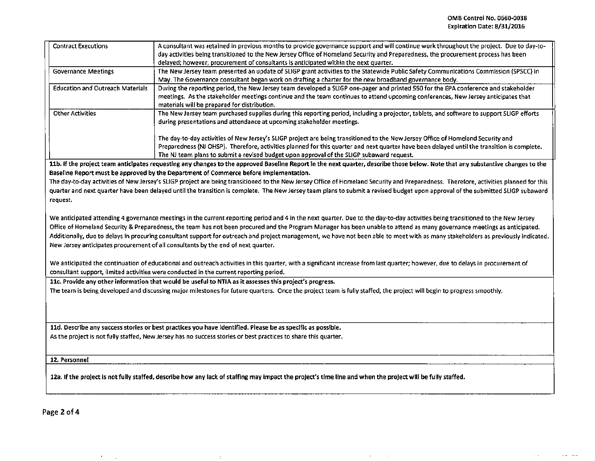$\sim 100$ 

 $\omega$  and  $\omega$  and  $\omega$ 

| <b>Contract Executions</b>                                                                                                                                                                                                                                                                                                                                                                                                                         | A consultant was retained in previous months to provide governance support and will continue work throughout the project. Due to day-to-<br>day activities being transitioned to the New Jersey Office of Homeland Security and Preparedness, the procurement process has been<br>delayed; however, procurement of consultants is anticipated within the next quarter.       |  |  |  |  |  |  |
|----------------------------------------------------------------------------------------------------------------------------------------------------------------------------------------------------------------------------------------------------------------------------------------------------------------------------------------------------------------------------------------------------------------------------------------------------|------------------------------------------------------------------------------------------------------------------------------------------------------------------------------------------------------------------------------------------------------------------------------------------------------------------------------------------------------------------------------|--|--|--|--|--|--|
| <b>Governance Meetings</b>                                                                                                                                                                                                                                                                                                                                                                                                                         | The New Jersey team presented an update of SLIGP grant activities to the Statewide Public Safety Communications Commission (SPSCC) in<br>May. The Governance consultant began work on drafting a charter for the new broadband governance body.                                                                                                                              |  |  |  |  |  |  |
| <b>Education and Outreach Materials</b>                                                                                                                                                                                                                                                                                                                                                                                                            | During the reporting period, the New Jersey team developed a SLIGP one-pager and printed S50 for the EPA conference and stakeholder                                                                                                                                                                                                                                          |  |  |  |  |  |  |
|                                                                                                                                                                                                                                                                                                                                                                                                                                                    | meetings. As the stakeholder meetings continue and the team continues to attend upcoming conferences, New Jersey anticipates that<br>materials will be prepared for distribution.                                                                                                                                                                                            |  |  |  |  |  |  |
| <b>Other Activities</b>                                                                                                                                                                                                                                                                                                                                                                                                                            | The New Jersey team purchased supplies during this reporting period, including a projector, tablets, and software to support SLIGP efforts<br>during presentations and attendance at upcoming stakeholder meetings.                                                                                                                                                          |  |  |  |  |  |  |
|                                                                                                                                                                                                                                                                                                                                                                                                                                                    | The day-to-day activities of New Jersey's SLIGP project are being transitioned to the New Jersey Office of Homeland Security and<br>Preparedness (NJ OHSP). Therefore, activities planned for this quarter and next quarter have been delayed until the transition is complete.<br>The NJ team plans to submit a revised budget upon approval of the SLIGP subaward request. |  |  |  |  |  |  |
|                                                                                                                                                                                                                                                                                                                                                                                                                                                    | 11b. If the project team anticipates requesting any changes to the approved Baseline Report in the next quarter, describe those below. Note that any substantive changes to the                                                                                                                                                                                              |  |  |  |  |  |  |
|                                                                                                                                                                                                                                                                                                                                                                                                                                                    | Baseline Report must be approved by the Department of Commerce before implementation.                                                                                                                                                                                                                                                                                        |  |  |  |  |  |  |
| The day-to-day activities of New Jersey's SLIGP project are being transitioned to the New Jersey Office of Homeland Security and Preparedness. Therefore, activities planned for this<br>quarter and next quarter have been delayed until the transition is complete. The New Jersey team plans to submit a revised budget upon approval of the submitted SLIGP subaward<br>request.                                                               |                                                                                                                                                                                                                                                                                                                                                                              |  |  |  |  |  |  |
|                                                                                                                                                                                                                                                                                                                                                                                                                                                    |                                                                                                                                                                                                                                                                                                                                                                              |  |  |  |  |  |  |
|                                                                                                                                                                                                                                                                                                                                                                                                                                                    | We anticipated attending 4 governance meetings in the current reporting period and 4 in the next quarter. Due to the day-to-day activities being transitioned to the New Jersey                                                                                                                                                                                              |  |  |  |  |  |  |
| Office of Homeland Security & Preparedness, the team has not been procured and the Program Manager has been unable to attend as many governance meetings as anticipated.<br>Additionally, due to delays in procuring consultant support for outreach and project management, we have not been able to meet with as many stakeholders as previously indicated.<br>New Jersey anticipates procurement of all consultants by the end of next quarter. |                                                                                                                                                                                                                                                                                                                                                                              |  |  |  |  |  |  |
| We anticipated the continuation of educational and outreach activities in this quarter, with a significant increase from last quarter; however, due to delays in procurement of<br>consultant support, limited activities were conducted in the current reporting period.                                                                                                                                                                          |                                                                                                                                                                                                                                                                                                                                                                              |  |  |  |  |  |  |
| 11c. Provide any other information that would be useful to NTIA as it assesses this project's progress.                                                                                                                                                                                                                                                                                                                                            |                                                                                                                                                                                                                                                                                                                                                                              |  |  |  |  |  |  |
| The team is being developed and discussing major milestones for future quarters. Once the project team is fully staffed, the project will begin to progress smoothly.                                                                                                                                                                                                                                                                              |                                                                                                                                                                                                                                                                                                                                                                              |  |  |  |  |  |  |
|                                                                                                                                                                                                                                                                                                                                                                                                                                                    |                                                                                                                                                                                                                                                                                                                                                                              |  |  |  |  |  |  |
| 11d. Describe any success stories or best practices you have identified. Please be as specific as possible.                                                                                                                                                                                                                                                                                                                                        |                                                                                                                                                                                                                                                                                                                                                                              |  |  |  |  |  |  |
| As the project is not fully staffed, New Jersey has no success stories or best practices to share this quarter.                                                                                                                                                                                                                                                                                                                                    |                                                                                                                                                                                                                                                                                                                                                                              |  |  |  |  |  |  |
| 12. Personnel                                                                                                                                                                                                                                                                                                                                                                                                                                      |                                                                                                                                                                                                                                                                                                                                                                              |  |  |  |  |  |  |
| 12a. If the project is not fully staffed, describe how any lack of staffing may impact the project's time line and when the project will be fully staffed.                                                                                                                                                                                                                                                                                         |                                                                                                                                                                                                                                                                                                                                                                              |  |  |  |  |  |  |
|                                                                                                                                                                                                                                                                                                                                                                                                                                                    |                                                                                                                                                                                                                                                                                                                                                                              |  |  |  |  |  |  |

 $\mathcal{L}_{\text{max}}$  and  $\mathcal{L}_{\text{max}}$ 

Page 2 of 4

 $\sigma_{\rm{max}}$ 

 $\ddot{\varepsilon}$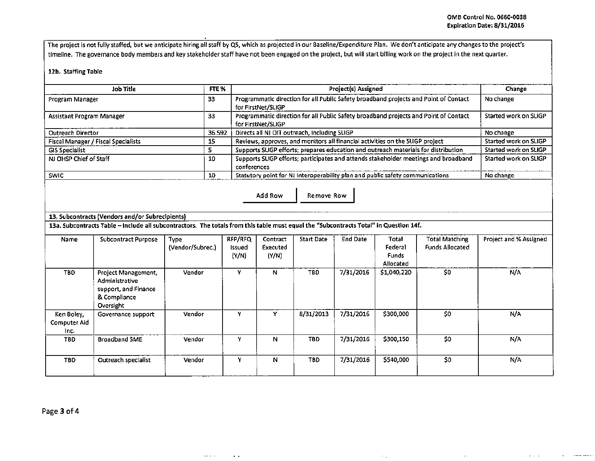$\sim$   $\sim$   $\sim$ 

The project is not fully staffed, but we anticipate hiring all staff by Q5, which as projected in our Baseline/Expenditure Plan. We don't anticipate any changes to the project's timeline. The governance body members and key stakeholder staff have not been engaged on the project, but will start billing work on the project in the next quarter.

## 12b. Staffing Table

| FTE <sub>%</sub><br>Job Title       |        | <b>Project(s) Assigned</b>                                                                                 | Change                |
|-------------------------------------|--------|------------------------------------------------------------------------------------------------------------|-----------------------|
| Program Manager                     | 33     | Programmatic direction for all Public Safety broadband projects and Point of Contact<br>for FirstNet/SLIGP | No change             |
| <b>Assistant Program Manager</b>    | 33     | Programmatic direction for all Public Safety broadband projects and Point of Contact<br>for FirstNet/SLIGP | Started work on SLIGP |
| <b>Outreach Director</b>            | 36.592 | Directs all NJ OIT outreach, including SLIGP                                                               | No change             |
| Fiscal Manager / Fiscal Specialists | 15     | Reviews, approves, and monitors all financial activities on the SLIGP project                              | Started work on SLIGP |
| <b>GIS Specialist</b>               |        | Supports SLIGP efforts; prepares education and outreach materials for distribution                         | Started work on SLIGP |
| NJ OHSP Chief of Staff              | 10     | Supports SLIGP efforts; participates and attends stakeholder meetings and broadband<br>conferences         | Started work on SLIGP |
| SWIC                                | 10     | Statutory point for NJ Interoperability plan and public safety communications                              | No change             |

Add Row | Remove Row

## 13. Subcontracts (Vendors and/or Subreclplents)

 $\sim$ 

 $\omega_{\rm{max}}$  ,  $\omega_{\rm{max}}$ 

 $\sim$   $\sim$ 

13a. Subcontracts Table -Include all subcontractors. The totals from this table must equal the "Subcontracts Total" In Question 14f.

| Name                               | Subcontract Purpose                                                                               | <b>Type</b><br>(Vendor/Subrec.) | RFP/RFQ<br>Issued<br>(Y/N) | Contract<br>Executed<br>(Y/N) | <b>Start Date</b> | <b>End Date</b> | Total<br>Federal<br><b>Funds</b><br>Allocated | Total Matching<br><b>Funds Allocated</b> | Project and % Assigned |
|------------------------------------|---------------------------------------------------------------------------------------------------|---------------------------------|----------------------------|-------------------------------|-------------------|-----------------|-----------------------------------------------|------------------------------------------|------------------------|
| TBD.                               | <b>Project Management,</b><br>Administrative<br>support, and Finance<br>& Compliance<br>Oversight | Vendor                          | ٧                          | N                             | TBD               | 7/31/2016       | \$1,040,220                                   | \$0                                      | N/A                    |
| Ken Boley,<br>Computer Aid<br>Inc. | Governance support                                                                                | Vendor                          | v                          | Υ                             | 8/31/2013         | 7/31/2016       | \$300,000                                     | \$0                                      | N/A                    |
| TBD.                               | <b>Broadband SME</b>                                                                              | Vendor                          | ν                          | N                             | TBD.              | 7/31/2016       | \$300,150                                     | \$0                                      | N/A                    |
| <b>TBD</b>                         | Outreach specialist                                                                               | Vendor                          | Y                          | N                             | TBD.              | 7/31/2016       | \$540,000                                     | \$0                                      | N/A                    |

 $\sim 10^7$ 

Page 3 of 4